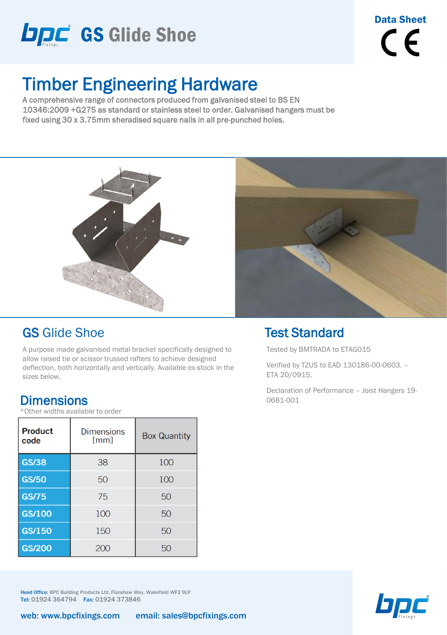

Data Sheet  $\epsilon$ 

# Timber Engineering Hardware

A comprehensive range of connectors produced from galvanised steel to BS EN 10346:2009 +G275 as standard or stainless steel to order. Galvanised hangers must be fixed using 30 x 3.75mm sheradised square nails in all pre-punched holes.



#### GS Glide Shoe

A purpose made galvanised metal bracket specifically designed to allow raised tie or scissor trussed rafters to achieve designed deflection, both horizontally and vertically. Available ex-stock in the sizes below.

#### **Dimensions**

\*Other widths available to order

| <b>Product</b><br>code | <b>Dimensions</b><br>[mm] | <b>Box Quantity</b> |  |  |
|------------------------|---------------------------|---------------------|--|--|
| <b>GS/38</b>           | 38                        | 100                 |  |  |
| <b>GS/50</b>           | 50                        | 100                 |  |  |
| GS/75                  | 75                        | 50                  |  |  |
| <b>GS/100</b>          | 100                       | 50                  |  |  |
| <b>GS/150</b>          | 150                       | 50                  |  |  |
| GS/200                 | 200                       | 50                  |  |  |

Head Office: BPC Building Products Ltd, Flanshaw Way, Wakefield WF2 9LP Tel: 01924 364794 Fax: 01924 373846



#### Test Standard

Tested by BMTRADA to ETAG015

Verified by TZUS to EAD 130186-00-0603. – ETA 20/0915.

Declaration of Performance – Joist Hangers 19- 0681-001